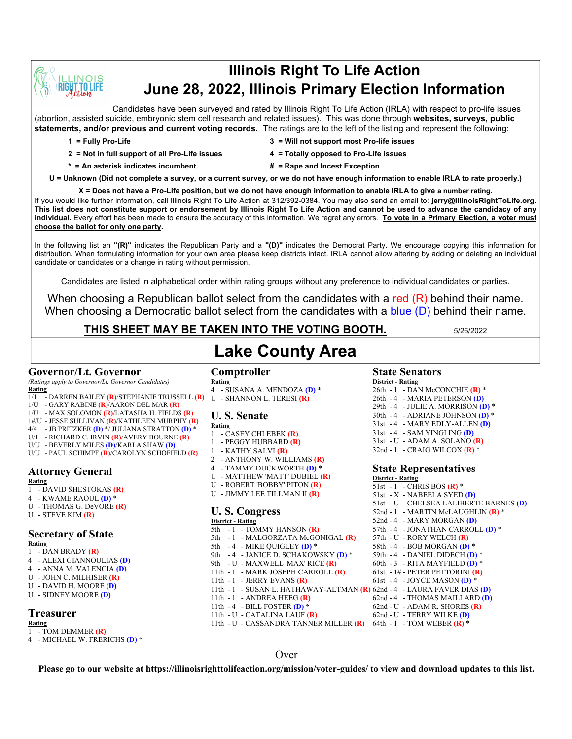

# **Illinois Right To Life Action June 28, 2022, Illinois Primary Election Information**

Candidates have been surveyed and rated by Illinois Right To Life Action (IRLA) with respect to pro-life issues (abortion, assisted suicide, embryonic stem cell research and related issues). This was done through **websites, surveys, public statements, and/or previous and current voting records.** The ratings are to the left of the listing and represent the following:

- 
- **1 = Fully Pro-Life 3 = Will not support most Pro-life issues**
- **2 = Not in full support of all Pro-Life issues 4 = Totally opposed to Pro-Life issues**
- **\* = An asterisk indicates incumbent. # = Rape and Incest Exception**
- -

**U = Unknown (Did not complete a survey, or a current survey, or we do not have enough information to enable IRLA to rate properly.)**

**X = Does not have a Pro-Life position, but we do not have enough information to enable IRLA to give a number rating.** 

If you would like further information, call Illinois Right To Life Action at 312/392-0384. You may also send an email to: **jerry@IllinoisRightToLife.org. This list does not constitute support or endorsement by Illinois Right To Life Action and cannot be used to advance the candidacy of any individual.** Every effort has been made to ensure the accuracy of this information. We regret any errors. **To vote in a Primary Election, a voter must choose the ballot for only one party.**

In the following list an **"(R)"** indicates the Republican Party and a **"(D)"** indicates the Democrat Party. We encourage copying this information for distribution. When formulating information for your own area please keep districts intact. IRLA cannot allow altering by adding or deleting an individual candidate or candidates or a change in rating without permission.

Candidates are listed in alphabetical order within rating groups without any preference to individual candidates or parties.

When choosing a Republican ballot select from the candidates with a red  $(R)$  behind their name. When choosing a Democratic ballot select from the candidates with a blue (D) behind their name.

**THIS SHEET MAY BE TAKEN INTO THE VOTING BOOTH.** 5/26/2022

# **Lake County Area**

### **Governor/Lt. Governor**

*(Ratings apply to Governor/Lt. Governor Candidates)* **Rating**

- 1/1 DARREN BAILEY **(R)**/STEPHANIE TRUSSELL **(R)** U SHANNON L. TERESI **(R)**
- 1/U GARY RABINE **(R)**/AARON DEL MAR **(R)**
- 1/U MAX SOLOMON **(R)**/LATASHA H. FIELDS **(R)**
- 1#/U JESSE SULLIVAN **(R)**/KATHLEEN MURPHY **(R)**
- 4/4 JB PRITZKER **(D)** \*/ JULIANA STRATTON **(D)** \*
- U/1 RICHARD C. IRVIN **(R)**/AVERY BOURNE **(R)**
- U/U BEVERLY MILES **(D)**/KARLA SHAW **(D)**
- U/U PAUL SCHIMPF **(R)**/CAROLYN SCHOFIELD **(R)**

# **Attorney General**

- **Rating** 1 - DAVID SHESTOKAS **(R)**
- 4 KWAME RAOUL **(D)** \*
- 
- U THOMAS G. DeVORE **(R)** U - STEVE KIM **(R)**
- 

# **Secretary of State**

**Rating**

- 1 DAN BRADY **(R)** 4 - ALEXI GIANNOULIAS **(D)**
- 4 ANNA M. VALENCIA **(D)**
- U JOHN C. MILHISER **(R)**
- U DAVID H. MOORE **(D)**
- U SIDNEY MOORE **(D)**

# **Treasurer**

#### **Rating** 1 - TOM DEMMER **(R)**

4 - MICHAEL W. FRERICHS **(D)** \*

**Comptroller Rating**

4 - SUSANA A. MENDOZA **(D)** \*

## **U. S. Senate**

- **Rating** 1 - CASEY CHLEBEK **(R)**
- 1 PEGGY HUBBARD **(R)**
- 1 KATHY SALVI **(R)**
- 2 ANTHONY W. WILLIAMS **(R)**
- 4 TAMMY DUCKWORTH **(D)** \*
- U MATTHEW 'MATT' DUBIEL **(R)**
- U ROBERT 'BOBBY' PITON **(R)**
- U JIMMY LEE TILLMAN II **(R)**

# **U. S. Congress**

**District - Rating** 5th - 1 - TOMMY HANSON **(R)** 5th - 1 - MALGORZATA McGONIGAL **(R)** 5th - 4 - MIKE QUIGLEY **(D)** \* 9th - 4 - JANICE D. SCHAKOWSKY **(D)** \* 9th - U - MAXWELL 'MAX' RICE **(R)** 11th - 1 - MARK JOSEPH CARROLL **(R)** 11th - 1 - JERRY EVANS **(R)** 11th - 1 - SUSAN L. HATHAWAY-ALTMAN **(R)** 62nd - 4 - LAURA FAVER DIAS **(D)** 11th - 1 - ANDREA HEEG **(R)** 11th - 4 - BILL FOSTER **(D)** \* 11th - U - CATALINA LAUF **(R)** 11th - U - CASSANDRA TANNER MILLER **(R)** 64th - 1 - TOM WEBER **(R)** \*

**State Senators**

**District - Rating**  $26th - 1 - DAN McCONCHIE (R)$ <sup>\*</sup> 26th - 4 - MARIA PETERSON **(D)** 29th - 4 - JULIE A. MORRISON **(D)** \* 30th - 4 - ADRIANE JOHNSON **(D)** \* 31st - 4 - MARY EDLY-ALLEN **(D)** 31st - 4 - SAM YINGLING **(D)** 31st - U - ADAM A. SOLANO **(R)** 32nd - 1 - CRAIG WILCOX **(R)** \*

### **State Representatives District - Rating**

- 51st 1 CHRIS BOS **(R)** \* 51st - X - NABEELA SYED **(D)** 51st - U - CHELSEA LALIBERTE BARNES **(D)** 52nd - 1 - MARTIN McLAUGHLIN **(R)** \* 52nd - 4 - MARY MORGAN **(D)** 57th - 4 - JONATHAN CARROLL **(D)** \* 57th - U - RORY WELCH **(R)** 58th - 4 - BOB MORGAN **(D)** \* 59th - 4 - DANIEL DIDECH **(D)** \* 60th - 3 - RITA MAYFIELD **(D)** \* 61st - 1# - PETER PETTORINI **(R)** 61st - 4 - JOYCE MASON **(D)** \* 62nd - 4 - THOMAS MAILLARD **(D)** 62nd - U - ADAM R. SHORES **(R)** 62nd - U - TERRY WILKE **(D)**
- 

Over

**Please go to our website at https://illinoisrighttolifeaction.org/mission/voter-guides/ to view and download updates to this list.**